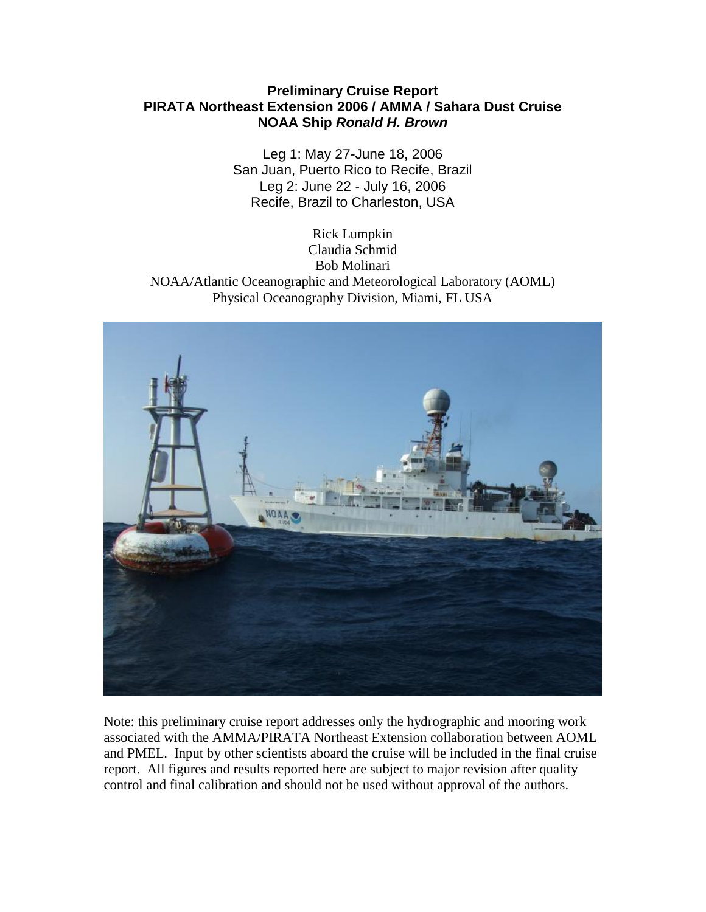## **Preliminary Cruise Report PIRATA Northeast Extension 2006 / AMMA / Sahara Dust Cruise NOAA Ship** *Ronald H. Brown*

Leg 1: May 27-June 18, 2006 San Juan, Puerto Rico to Recife, Brazil Leg 2: June 22 - July 16, 2006 Recife, Brazil to Charleston, USA

Rick Lumpkin Claudia Schmid Bob Molinari NOAA/Atlantic Oceanographic and Meteorological Laboratory (AOML) Physical Oceanography Division, Miami, FL USA



Note: this preliminary cruise report addresses only the hydrographic and mooring work associated with the AMMA/PIRATA Northeast Extension collaboration between AOML and PMEL. Input by other scientists aboard the cruise will be included in the final cruise report. All figures and results reported here are subject to major revision after quality control and final calibration and should not be used without approval of the authors.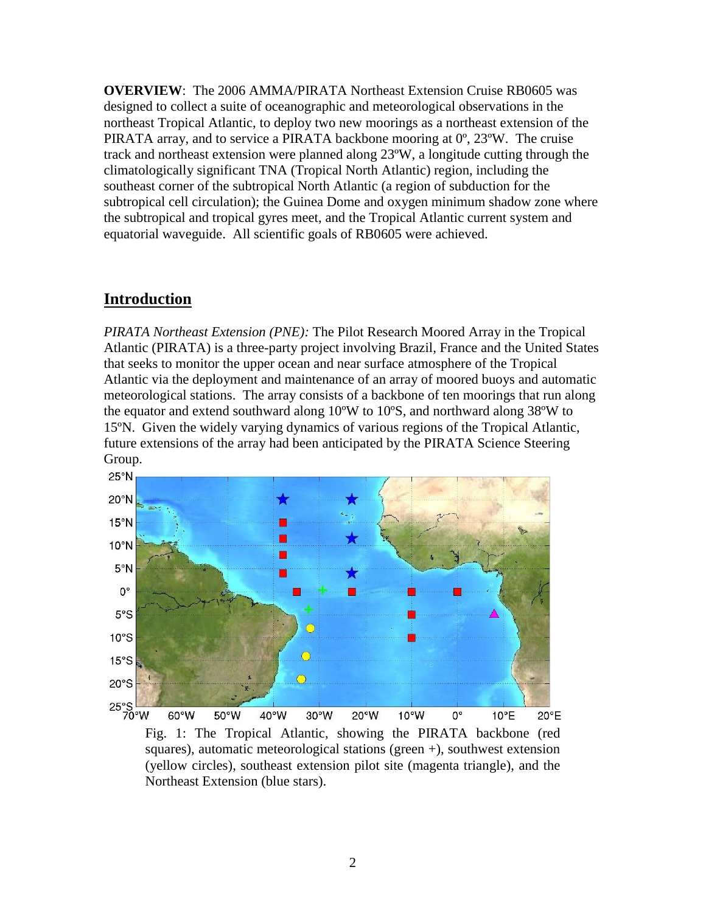**OVERVIEW**: The 2006 AMMA/PIRATA Northeast Extension Cruise RB0605 was designed to collect a suite of oceanographic and meteorological observations in the northeast Tropical Atlantic, to deploy two new moorings as a northeast extension of the PIRATA array, and to service a PIRATA backbone mooring at 0º, 23ºW. The cruise track and northeast extension were planned along 23ºW, a longitude cutting through the climatologically significant TNA (Tropical North Atlantic) region, including the southeast corner of the subtropical North Atlantic (a region of subduction for the subtropical cell circulation); the Guinea Dome and oxygen minimum shadow zone where the subtropical and tropical gyres meet, and the Tropical Atlantic current system and equatorial waveguide. All scientific goals of RB0605 were achieved.

## **Introduction**

*PIRATA Northeast Extension (PNE):* The Pilot Research Moored Array in the Tropical Atlantic (PIRATA) is a three-party project involving Brazil, France and the United States that seeks to monitor the upper ocean and near surface atmosphere of the Tropical Atlantic via the deployment and maintenance of an array of moored buoys and automatic meteorological stations. The array consists of a backbone of ten moorings that run along the equator and extend southward along 10ºW to 10ºS, and northward along 38ºW to 15ºN. Given the widely varying dynamics of various regions of the Tropical Atlantic, future extensions of the array had been anticipated by the PIRATA Science Steering Group.



Fig. 1: The Tropical Atlantic, showing the PIRATA backbone (red squares), automatic meteorological stations (green +), southwest extension (yellow circles), southeast extension pilot site (magenta triangle), and the Northeast Extension (blue stars).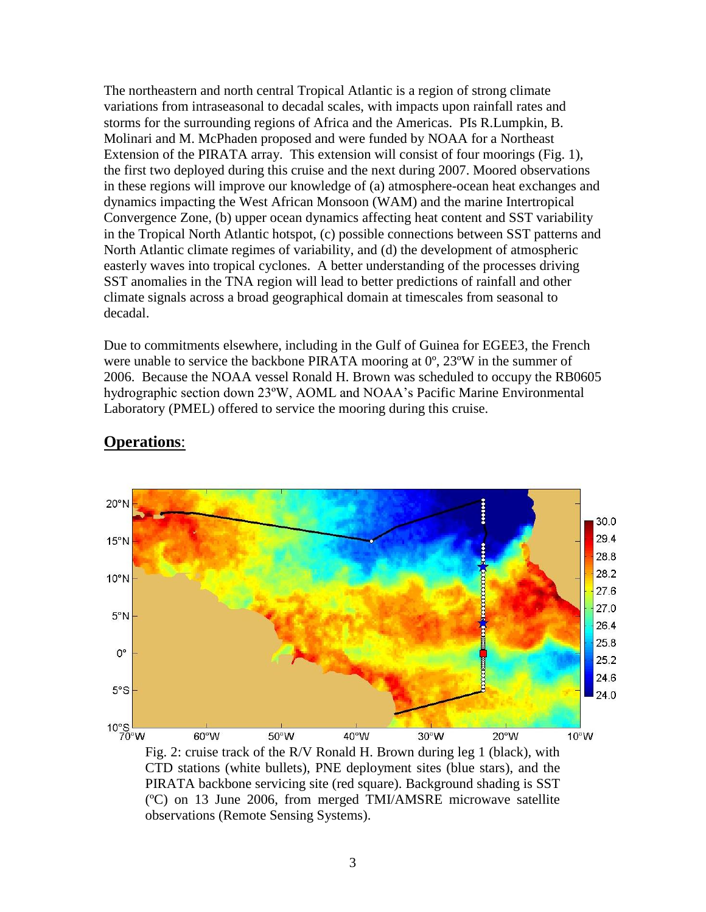The northeastern and north central Tropical Atlantic is a region of strong climate variations from intraseasonal to decadal scales, with impacts upon rainfall rates and storms for the surrounding regions of Africa and the Americas. PIs R.Lumpkin, B. Molinari and M. McPhaden proposed and were funded by NOAA for a Northeast Extension of the PIRATA array. This extension will consist of four moorings (Fig. 1), the first two deployed during this cruise and the next during 2007. Moored observations in these regions will improve our knowledge of (a) atmosphere-ocean heat exchanges and dynamics impacting the West African Monsoon (WAM) and the marine Intertropical Convergence Zone, (b) upper ocean dynamics affecting heat content and SST variability in the Tropical North Atlantic hotspot, (c) possible connections between SST patterns and North Atlantic climate regimes of variability, and (d) the development of atmospheric easterly waves into tropical cyclones. A better understanding of the processes driving SST anomalies in the TNA region will lead to better predictions of rainfall and other climate signals across a broad geographical domain at timescales from seasonal to decadal.

Due to commitments elsewhere, including in the Gulf of Guinea for EGEE3, the French were unable to service the backbone PIRATA mooring at  $0^{\circ}$ , 23°W in the summer of 2006. Because the NOAA vessel Ronald H. Brown was scheduled to occupy the RB0605 hydrographic section down 23ºW, AOML and NOAA's Pacific Marine Environmental Laboratory (PMEL) offered to service the mooring during this cruise.



## **Operations**:

Fig. 2: cruise track of the R/V Ronald H. Brown during leg 1 (black), with CTD stations (white bullets), PNE deployment sites (blue stars), and the PIRATA backbone servicing site (red square). Background shading is SST (ºC) on 13 June 2006, from merged TMI/AMSRE microwave satellite observations (Remote Sensing Systems).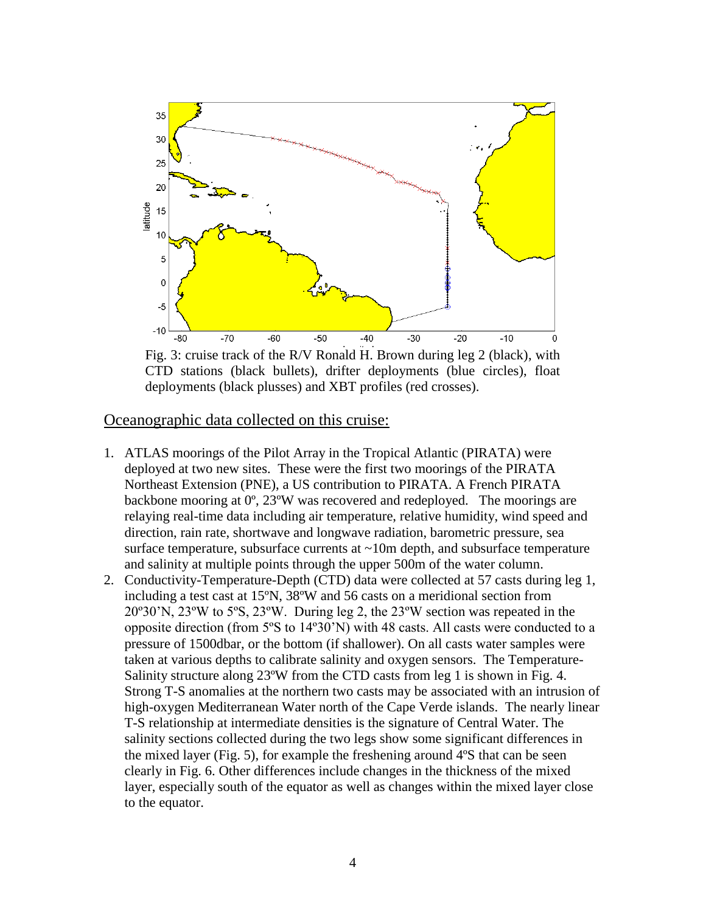

Fig. 3: cruise track of the R/V Ronald H. Brown during leg 2 (black), with CTD stations (black bullets), drifter deployments (blue circles), float deployments (black plusses) and XBT profiles (red crosses).

## Oceanographic data collected on this cruise:

- 1. ATLAS moorings of the Pilot Array in the Tropical Atlantic (PIRATA) were deployed at two new sites. These were the first two moorings of the PIRATA Northeast Extension (PNE), a US contribution to PIRATA. A French PIRATA backbone mooring at 0º, 23ºW was recovered and redeployed. The moorings are relaying real-time data including air temperature, relative humidity, wind speed and direction, rain rate, shortwave and longwave radiation, barometric pressure, sea surface temperature, subsurface currents at  $\sim$ 10m depth, and subsurface temperature and salinity at multiple points through the upper 500m of the water column.
- 2. Conductivity-Temperature-Depth (CTD) data were collected at 57 casts during leg 1, including a test cast at 15ºN, 38ºW and 56 casts on a meridional section from 20º30'N, 23ºW to 5ºS, 23ºW. During leg 2, the 23ºW section was repeated in the opposite direction (from 5ºS to 14º30'N) with 48 casts. All casts were conducted to a pressure of 1500dbar, or the bottom (if shallower). On all casts water samples were taken at various depths to calibrate salinity and oxygen sensors. The Temperature-Salinity structure along 23ºW from the CTD casts from leg 1 is shown in Fig. 4. Strong T-S anomalies at the northern two casts may be associated with an intrusion of high-oxygen Mediterranean Water north of the Cape Verde islands. The nearly linear T-S relationship at intermediate densities is the signature of Central Water. The salinity sections collected during the two legs show some significant differences in the mixed layer (Fig. 5), for example the freshening around 4ºS that can be seen clearly in Fig. 6. Other differences include changes in the thickness of the mixed layer, especially south of the equator as well as changes within the mixed layer close to the equator.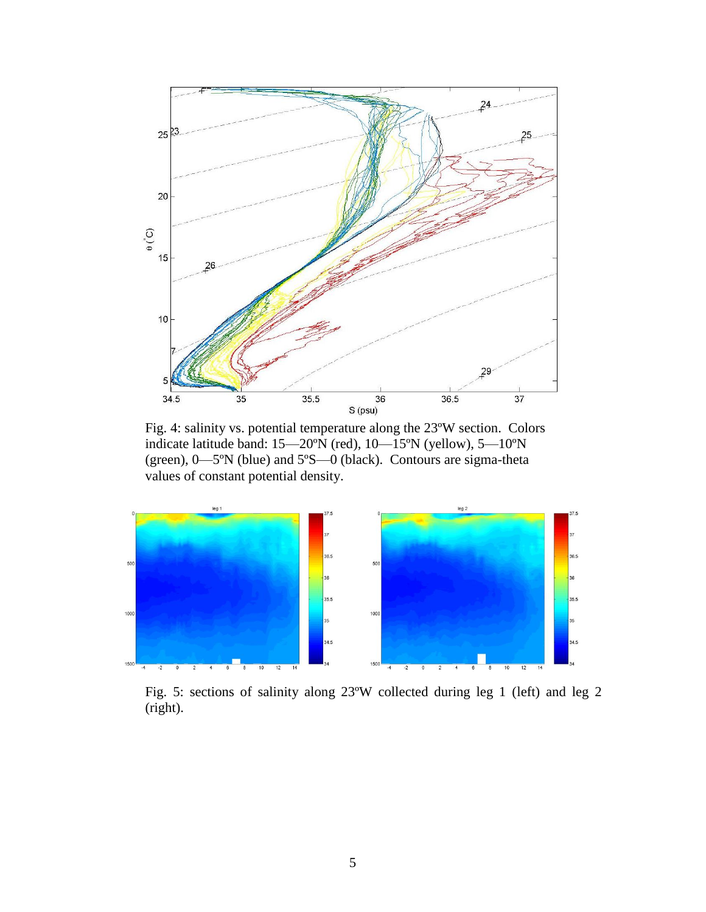

Fig. 4: salinity vs. potential temperature along the 23ºW section. Colors indicate latitude band: 15—20ºN (red), 10—15ºN (yellow), 5—10ºN (green), 0—5ºN (blue) and 5ºS—0 (black). Contours are sigma-theta values of constant potential density.



Fig. 5: sections of salinity along 23ºW collected during leg 1 (left) and leg 2 (right).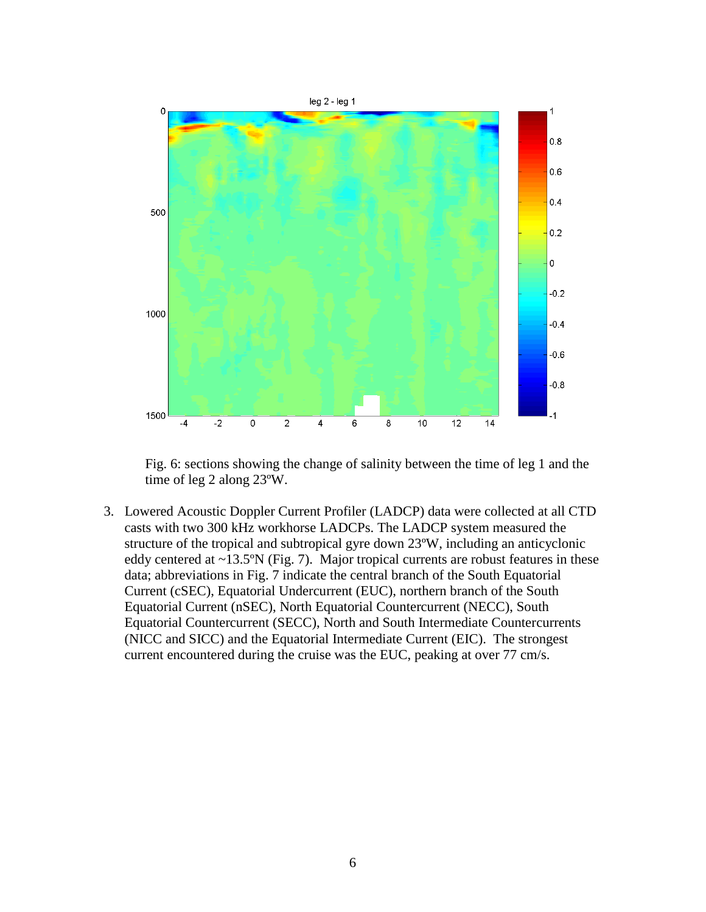

Fig. 6: sections showing the change of salinity between the time of leg 1 and the time of leg 2 along 23ºW.

3. Lowered Acoustic Doppler Current Profiler (LADCP) data were collected at all CTD casts with two 300 kHz workhorse LADCPs. The LADCP system measured the structure of the tropical and subtropical gyre down 23ºW, including an anticyclonic eddy centered at ~13.5ºN (Fig. 7). Major tropical currents are robust features in these data; abbreviations in Fig. 7 indicate the central branch of the South Equatorial Current (cSEC), Equatorial Undercurrent (EUC), northern branch of the South Equatorial Current (nSEC), North Equatorial Countercurrent (NECC), South Equatorial Countercurrent (SECC), North and South Intermediate Countercurrents (NICC and SICC) and the Equatorial Intermediate Current (EIC). The strongest current encountered during the cruise was the EUC, peaking at over 77 cm/s.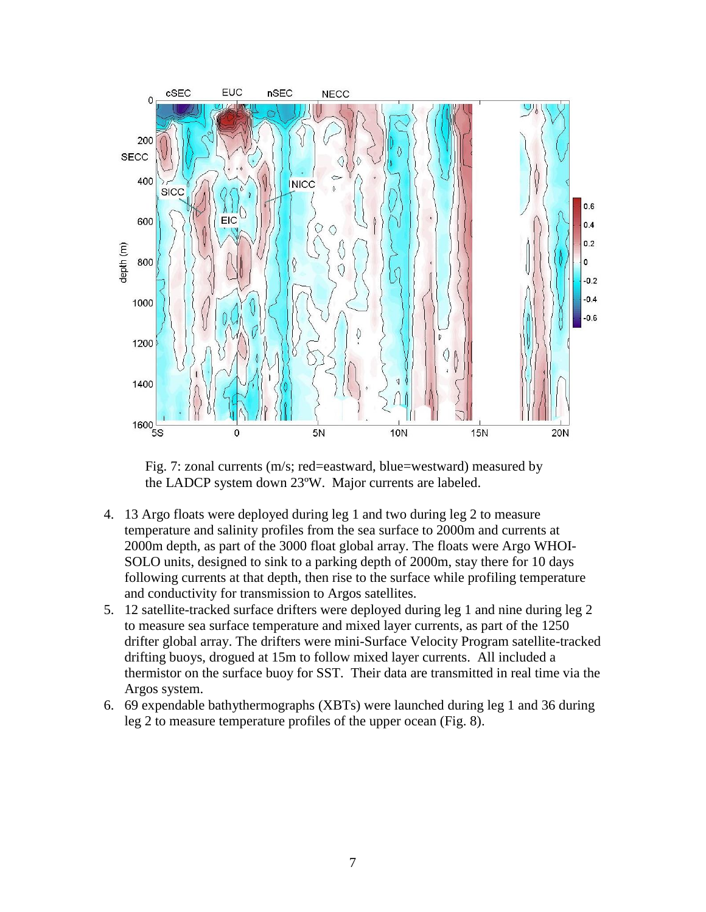

Fig. 7: zonal currents (m/s; red=eastward, blue=westward) measured by the LADCP system down 23ºW. Major currents are labeled.

- 4. 13 Argo floats were deployed during leg 1 and two during leg 2 to measure temperature and salinity profiles from the sea surface to 2000m and currents at 2000m depth, as part of the 3000 float global array. The floats were Argo WHOI-SOLO units, designed to sink to a parking depth of 2000m, stay there for 10 days following currents at that depth, then rise to the surface while profiling temperature and conductivity for transmission to Argos satellites.
- 5. 12 satellite-tracked surface drifters were deployed during leg 1 and nine during leg 2 to measure sea surface temperature and mixed layer currents, as part of the 1250 drifter global array. The drifters were mini-Surface Velocity Program satellite-tracked drifting buoys, drogued at 15m to follow mixed layer currents. All included a thermistor on the surface buoy for SST. Their data are transmitted in real time via the Argos system.
- 6. 69 expendable bathythermographs (XBTs) were launched during leg 1 and 36 during leg 2 to measure temperature profiles of the upper ocean (Fig. 8).